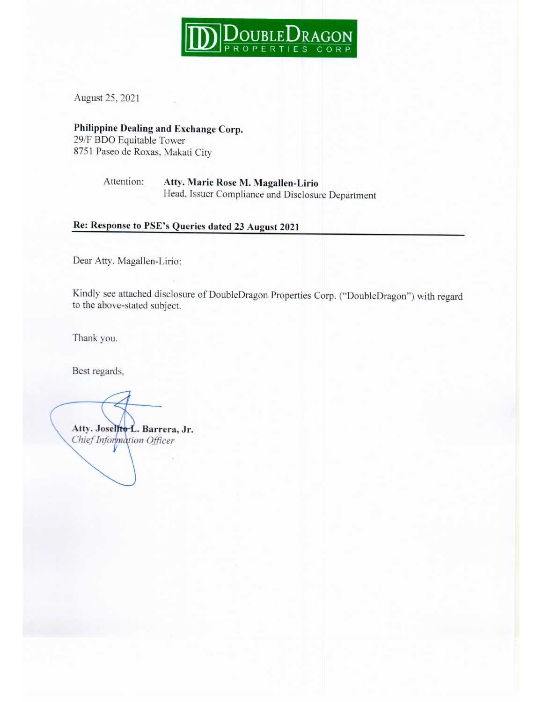

August 25, 2021

Philippine Dealing and Exchange Corp. 29/F BDO Equitable Tower 8751 Paseo de Roxas, Makati City

> Attention: Atty. Marie Rose M. Magallen-Lirio Head, Issuer Compliance and Disclosure Department

Re: Response to PSE's Queries dated 23 August 2021

Dear Atty. Magallen-Lirio:

Kindly see attached disclosure of DoubleDragon Properties Corp. ("DoubleDragon") with regard to the above-stated subject.

Thank you.

Best regards,

Atty. Joselite L. Barrera, Jr. Chief Information Officer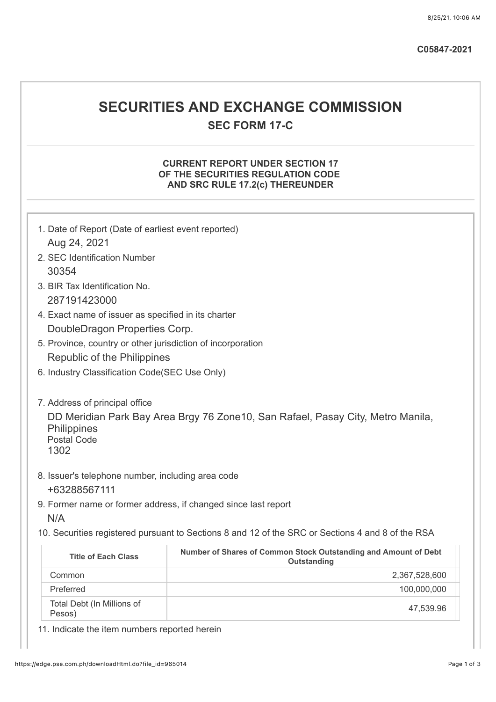## **SECURITIES AND EXCHANGE COMMISSION SEC FORM 17-C**

## **CURRENT REPORT UNDER SECTION 17 OF THE SECURITIES REGULATION CODE AND SRC RULE 17.2(c) THEREUNDER**

| 1. Date of Report (Date of earliest event reported)                   |                                                                                                   |
|-----------------------------------------------------------------------|---------------------------------------------------------------------------------------------------|
| Aug 24, 2021                                                          |                                                                                                   |
| 2. SEC Identification Number                                          |                                                                                                   |
| 30354                                                                 |                                                                                                   |
| 3. BIR Tax Identification No.                                         |                                                                                                   |
| 287191423000                                                          |                                                                                                   |
| 4. Exact name of issuer as specified in its charter                   |                                                                                                   |
| DoubleDragon Properties Corp.                                         |                                                                                                   |
| 5. Province, country or other jurisdiction of incorporation           |                                                                                                   |
| Republic of the Philippines                                           |                                                                                                   |
| 6. Industry Classification Code(SEC Use Only)                         |                                                                                                   |
| <b>Philippines</b><br><b>Postal Code</b><br>1302                      |                                                                                                   |
| 8. Issuer's telephone number, including area code<br>+63288567111     |                                                                                                   |
| 9. Former name or former address, if changed since last report<br>N/A |                                                                                                   |
|                                                                       | 10. Securities registered pursuant to Sections 8 and 12 of the SRC or Sections 4 and 8 of the RSA |
| <b>Title of Each Class</b>                                            | Number of Shares of Common Stock Outstanding and Amount of Debt<br>Outstanding                    |
| Common                                                                | 2,367,528,600                                                                                     |
| Preferred                                                             | 100,000,000                                                                                       |
| Total Debt (In Millions of<br>Pesos)                                  | 47,539.96                                                                                         |

11. Indicate the item numbers reported herein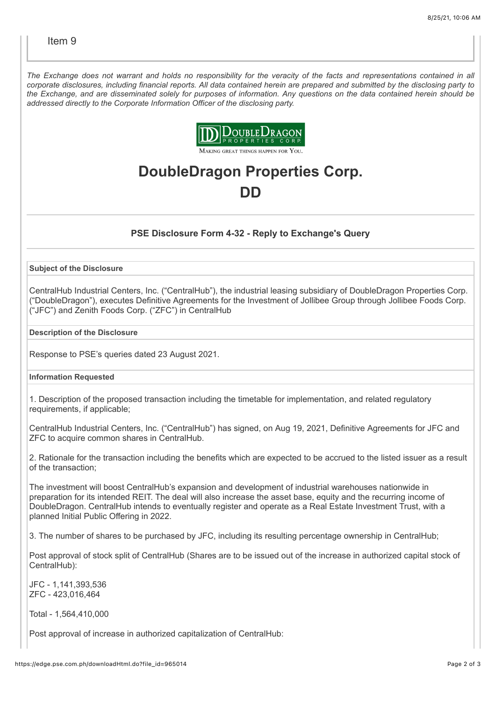*The Exchange does not warrant and holds no responsibility for the veracity of the facts and representations contained in all corporate disclosures, including financial reports. All data contained herein are prepared and submitted by the disclosing party to the Exchange, and are disseminated solely for purposes of information. Any questions on the data contained herein should be addressed directly to the Corporate Information Officer of the disclosing party.*



# **DoubleDragon Properties Corp. DD**

## **PSE Disclosure Form 4-32 - Reply to Exchange's Query**

**Subject of the Disclosure**

CentralHub Industrial Centers, Inc. ("CentralHub"), the industrial leasing subsidiary of DoubleDragon Properties Corp. ("DoubleDragon"), executes Definitive Agreements for the Investment of Jollibee Group through Jollibee Foods Corp. ("JFC") and Zenith Foods Corp. ("ZFC") in CentralHub

### **Description of the Disclosure**

Response to PSE's queries dated 23 August 2021.

#### **Information Requested**

1. Description of the proposed transaction including the timetable for implementation, and related regulatory requirements, if applicable;

CentralHub Industrial Centers, Inc. ("CentralHub") has signed, on Aug 19, 2021, Definitive Agreements for JFC and ZFC to acquire common shares in CentralHub.

2. Rationale for the transaction including the benefits which are expected to be accrued to the listed issuer as a result of the transaction;

The investment will boost CentralHub's expansion and development of industrial warehouses nationwide in preparation for its intended REIT. The deal will also increase the asset base, equity and the recurring income of DoubleDragon. CentralHub intends to eventually register and operate as a Real Estate Investment Trust, with a planned Initial Public Offering in 2022.

3. The number of shares to be purchased by JFC, including its resulting percentage ownership in CentralHub;

Post approval of stock split of CentralHub (Shares are to be issued out of the increase in authorized capital stock of CentralHub):

JFC - 1,141,393,536 ZFC - 423,016,464

Total - 1,564,410,000

Post approval of increase in authorized capitalization of CentralHub: